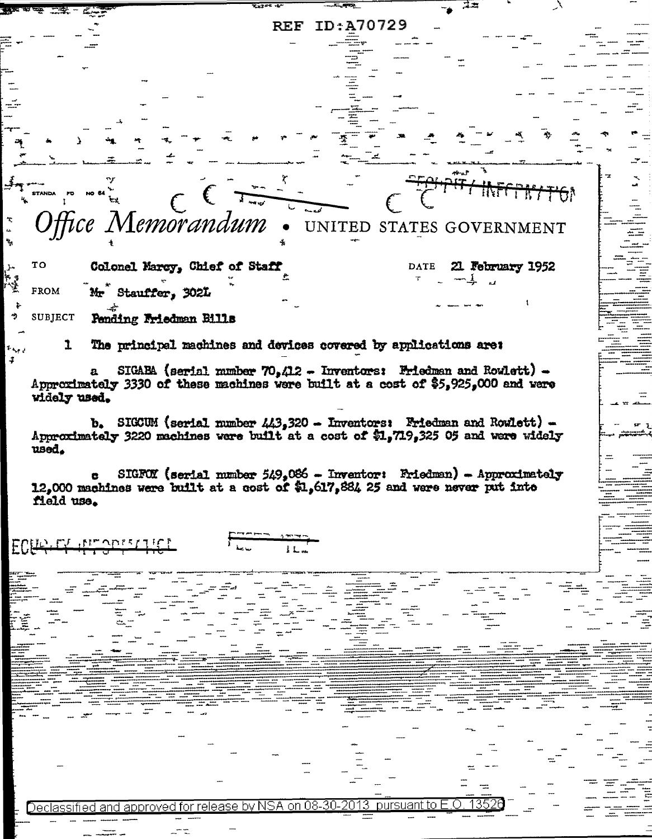|                                                                                                                                                                  | ID:A70729<br>$\operatorname{REF}$                                     |                          |                  |  |
|------------------------------------------------------------------------------------------------------------------------------------------------------------------|-----------------------------------------------------------------------|--------------------------|------------------|--|
|                                                                                                                                                                  |                                                                       |                          |                  |  |
|                                                                                                                                                                  |                                                                       |                          |                  |  |
|                                                                                                                                                                  |                                                                       |                          |                  |  |
|                                                                                                                                                                  |                                                                       |                          |                  |  |
|                                                                                                                                                                  |                                                                       |                          |                  |  |
|                                                                                                                                                                  |                                                                       |                          |                  |  |
|                                                                                                                                                                  |                                                                       |                          |                  |  |
|                                                                                                                                                                  |                                                                       |                          |                  |  |
|                                                                                                                                                                  |                                                                       |                          |                  |  |
| STANDA FO                                                                                                                                                        | $\frac{1}{2}$                                                         |                          |                  |  |
|                                                                                                                                                                  |                                                                       |                          |                  |  |
| Memorandum                                                                                                                                                       |                                                                       | UNITED STATES GOVERNMENT |                  |  |
|                                                                                                                                                                  |                                                                       |                          |                  |  |
| TO<br>Colonel Marcy, Chief of Staff                                                                                                                              |                                                                       | DATE                     | 21 February 1952 |  |
|                                                                                                                                                                  |                                                                       |                          |                  |  |
| <b>FROM</b><br>Mr Stauffer, 302L                                                                                                                                 |                                                                       |                          |                  |  |
| SUBJECT                                                                                                                                                          |                                                                       |                          |                  |  |
| Pending Friedman Bills                                                                                                                                           |                                                                       |                          |                  |  |
| The principal machines and devices covered by applications are:<br>ı.                                                                                            |                                                                       |                          |                  |  |
|                                                                                                                                                                  |                                                                       |                          |                  |  |
| $\mathbf{a}$<br>Approximately 3330 of these machines were built at a cost of \$5,925,000 and were                                                                | SIGARA (serial number $70,412$ - Inventors: Friedman and Rowlett) -   |                          |                  |  |
| widely used.                                                                                                                                                     |                                                                       |                          |                  |  |
|                                                                                                                                                                  |                                                                       |                          |                  |  |
| $b_*$ SIGCUM (serial number $443,320$ - Inventors: Friedman and Rowlett) -<br>Approximately 3220 machines were built at a cost of \$1,719,325 05 and were widely |                                                                       |                          |                  |  |
| used.                                                                                                                                                            |                                                                       |                          |                  |  |
|                                                                                                                                                                  |                                                                       |                          |                  |  |
| 12,000 machines were built at a cost of \$1,617,884 25 and were never put into                                                                                   | SIGFOX (serial number $549.086$ - Inventor: Friedman) - Approximately |                          |                  |  |
| field use.                                                                                                                                                       |                                                                       |                          |                  |  |
|                                                                                                                                                                  |                                                                       |                          |                  |  |
|                                                                                                                                                                  |                                                                       |                          |                  |  |
| ECHARTY ALLOWSFILED                                                                                                                                              | 11.4                                                                  |                          |                  |  |
|                                                                                                                                                                  |                                                                       |                          |                  |  |
|                                                                                                                                                                  |                                                                       |                          |                  |  |
|                                                                                                                                                                  |                                                                       |                          |                  |  |
|                                                                                                                                                                  |                                                                       |                          |                  |  |
|                                                                                                                                                                  |                                                                       |                          |                  |  |
|                                                                                                                                                                  |                                                                       |                          |                  |  |
|                                                                                                                                                                  |                                                                       |                          |                  |  |
|                                                                                                                                                                  |                                                                       |                          |                  |  |
|                                                                                                                                                                  |                                                                       |                          |                  |  |
|                                                                                                                                                                  |                                                                       |                          |                  |  |
|                                                                                                                                                                  |                                                                       |                          |                  |  |
|                                                                                                                                                                  |                                                                       |                          |                  |  |
|                                                                                                                                                                  |                                                                       |                          |                  |  |
|                                                                                                                                                                  |                                                                       |                          |                  |  |
|                                                                                                                                                                  |                                                                       |                          |                  |  |
| Declassified and approved for release by NSA on 08-30-2013                                                                                                       |                                                                       |                          |                  |  |
|                                                                                                                                                                  |                                                                       | 1352                     |                  |  |
|                                                                                                                                                                  |                                                                       | pursuant to E.O.         |                  |  |